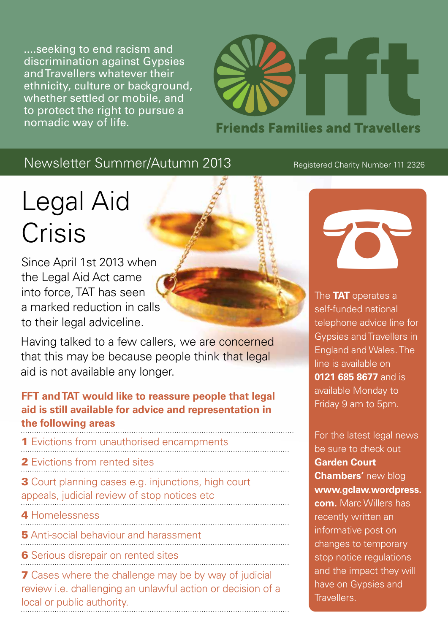....seeking to end racism and discrimination against Gypsies and Travellers whatever their ethnicity, culture or background, whether settled or mobile, and to protect the right to pursue a nomadic way of life.



## Newsletter Summer/Autumn 2013

# Legal Aid Crisis

Since April 1st 2013 when the Legal Aid Act came into force, TAT has seen a marked reduction in calls to their legal adviceline.

Having talked to a few callers, we are concerned that this may be because people think that legal aid is not available any longer.

#### **FFT and TAT would like to reassure people that legal aid is still available for advice and representation in the following areas**

- **1** Evictions from unauthorised encampments
- 2 Evictions from rented sites
- **3** Court planning cases e.g. injunctions, high court appeals, judicial review of stop notices etc
- **Homelessness**
- **5** Anti-social behaviour and harassment
- 
- **6** Serious disrepair on rented sites

**7** Cases where the challenge may be by way of judicial review i.e. challenging an unlawful action or decision of a local or public authority.

#### Registered Charity Number 111 2326



The **TAT** operates a self-funded national telephone advice line for Gypsies and Travellers in England and Wales. The line is available on **0121 685 8677** and is available Monday to Friday 9 am to 5pm.

For the latest legal news be sure to check out **Garden Court Chambers'** new blog **www.gclaw.wordpress. com.** Marc Willers has recently written an informative post on changes to temporary stop notice regulations and the impact they will have on Gypsies and Travellers.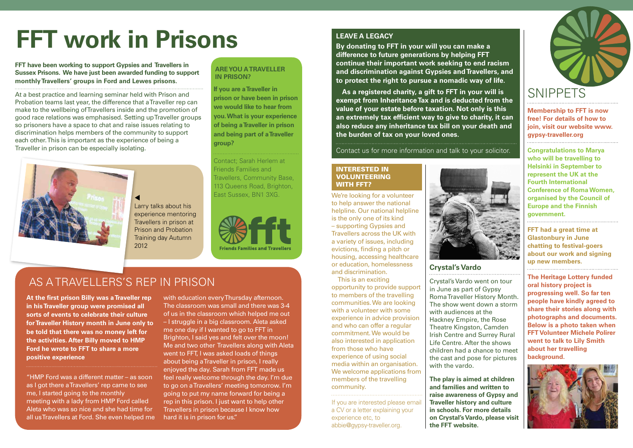#### **Are you a Traveller in prison?**

**If you are a Traveller in prison or have been in prison we would like to hear from you. What is your experience of being a Traveller in prison and being part of a Traveller group?**

Contact; Sarah Herlem at Friends Families and Travellers, Community Base, 113 Queens Road, Brighton, East Sussex, BN1 3XG.



### **Crystal's Vardo**

Crystal's Vardo went on tour in June as part of Gypsy Roma Traveller History Month. The show went down a storm with audiences at the Hackney Empire, the Rose Theatre Kingston, Camden Irish Centre and Surrey Rural Life Centre. After the shows children had a chance to meet the cast and pose for pictures with the vardo.

**The play is aimed at children and families and written to raise awareness of Gypsy and Traveller history and culture in schools. For more details on Crystal's Vardo, please visit the FFT website.** 

# **SNIPPETS**

#### **Leave a Legacy**

**By donating to FFT in your will you can make a difference to future generations by helping FFT continue their important work seeking to end racism and discrimination against Gypsies and Travellers, and to protect the right to pursue a nomadic way of life.** 

**As a registered charity, a gift to FFT in your will is exempt from Inheritance Tax and is deducted from the value of your estate before taxation. Not only is this an extremely tax efficient way to give to charity, it can also reduce any inheritance tax bill on your death and the burden of tax on your loved ones.**

Contact us for more information and talk to your solicitor.

#### Interested in **VOLUNTEERING** WITH FFT?

At a best practice and learning seminar held with Prison and Probation teams last year, the difference that a Traveller rep can make to the wellbeing of Travellers inside and the promotion of good race relations was emphasised. Setting up Traveller groups so prisoners have a space to chat and raise issues relating to discrimination helps members of the community to support each other. This is important as the experience of being a Traveller in prison can be especially isolating.



 $\blacktriangleleft$ Larry talks about his experience mentoring Travellers in prison at Prison and Probation Training day Autumn 2012

**At the first prison Billy was a Traveller rep in his Traveller group were promised all sorts of events to celebrate their culture for Traveller History month in June only to be told that there was no money left for the activities. After Billy moved to HMP Ford he wrote to FFT to share a more positive experience**

"HMP Ford was a different matter – as soon as I got there a Travellers' rep came to see me, I started going to the monthly meeting with a lady from HMP Ford called Aleta who was so nice and she had time for all us Travellers at Ford. She even helped me with education every Thursday afternoon. The classroom was small and there was 3-4 of us in the classroom which helped me out – I struggle in a big classroom. Aleta asked me one day if I wanted to go to FFT in Brighton, I said yes and felt over the moon! Me and two other Travellers along with Aleta went to FFT, I was asked loads of things about being a Traveller in prison, I really enjoyed the day. Sarah from FFT made us feel really welcome through the day. I'm due to go on a Travellers' meeting tomorrow. I'm going to put my name forward for being a rep in this prison. I just want to help other Travellers in prison because I know how hard it is in prison for us."

We're looking for a volunteer to help answer the national helpline. Our national helpline is the only one of its kind – supporting Gypsies and Travellers across the UK with a variety of issues, including evictions, finding a pitch or housing, accessing healthcare or education, homelessness and discrimination.

This is an exciting opportunity to provide support to members of the travelling communities. We are looking with a volunteer with some experience in advice provision and who can offer a regular commitment. We would be also interested in application from those who have experience of using social media within an organisation. We welcome applications from members of the travelling community.

If you are interested please email a CV or a letter explaining your experience etc, to abbie@gypsy-traveller.org.



## As a Travellers's Rep in Prison

# **FFT work in Prisons**

#### **FFT have been working to support Gypsies and Travellers in Sussex Prisons. We have just been awarded funding to support monthly Travellers' groups in Ford and Lewes prisons.**

**Membership to FFT is now free! For details of how to join, visit our website www. gypsy-traveller.org**

**Congratulations to Marya who will be travelling to Helsinki in September to represent the UK at the Fourth International Conference of Roma Women, organised by the Council of Europe and the Finnish government.**

**FFT had a great time at Glastonbury in June chatting to festival-goers about our work and signing up new members.** 

**The Heritage Lottery funded oral history project is progressing well. So far ten people have kindly agreed to share their stories along with photographs and documents. Below is a photo taken when FFT Volunteer Michele Polirer went to talk to Lily Smith about her travelling background.**